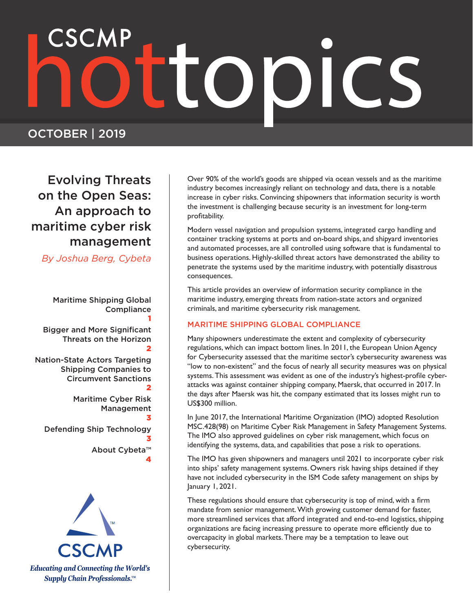# 

### OCTOBER | 2019

Evolving Threats on the Open Seas: An approach to maritime cyber risk management

*By Joshua Berg, Cybeta*

Maritime Shipping Global **Compliance** 1 Bigger and More Significant Threats on the Horizon 2 Nation-State Actors Targeting Shipping Companies to Circumvent Sanctions 2 Maritime Cyber Risk Management 3 Defending Ship Technology 3 About Cybeta™

4



Over 90% of the world's goods are shipped via ocean vessels and as the maritime industry becomes increasingly reliant on technology and data, there is a notable increase in cyber risks. Convincing shipowners that information security is worth the investment is challenging because security is an investment for long-term profitability.

Modern vessel navigation and propulsion systems, integrated cargo handling and container tracking systems at ports and on-board ships, and shipyard inventories and automated processes, are all controlled using software that is fundamental to business operations. Highly-skilled threat actors have demonstrated the ability to penetrate the systems used by the maritime industry, with potentially disastrous consequences.

This article provides an overview of information security compliance in the maritime industry, emerging threats from nation-state actors and organized criminals, and maritime cybersecurity risk management.

### MARITIME SHIPPING GLOBAL COMPLIANCE

Many shipowners underestimate the extent and complexity of cybersecurity regulations, which can impact bottom lines. In 2011, the European Union Agency for Cybersecurity assessed that the maritime sector's cybersecurity awareness was "low to non-existent" and the focus of nearly all security measures was on physical systems. This assessment was evident as one of the industry's highest-profile cyberattacks was against container shipping company, Maersk, that occurred in 2017. In the days after Maersk was hit, the company estimated that its losses might run to US\$300 million.

In June 2017, the International Maritime Organization (IMO) adopted Resolution MSC.428(98) on Maritime Cyber Risk Management in Safety Management Systems. The IMO also approved guidelines on cyber risk management, which focus on identifying the systems, data, and capabilities that pose a risk to operations.

The IMO has given shipowners and managers until 2021 to incorporate cyber risk into ships' safety management systems. Owners risk having ships detained if they have not included cybersecurity in the ISM Code safety management on ships by January 1, 2021.

These regulations should ensure that cybersecurity is top of mind, with a firm mandate from senior management. With growing customer demand for faster, more streamlined services that afford integrated and end-to-end logistics, shipping organizations are facing increasing pressure to operate more efficiently due to overcapacity in global markets. There may be a temptation to leave out cybersecurity.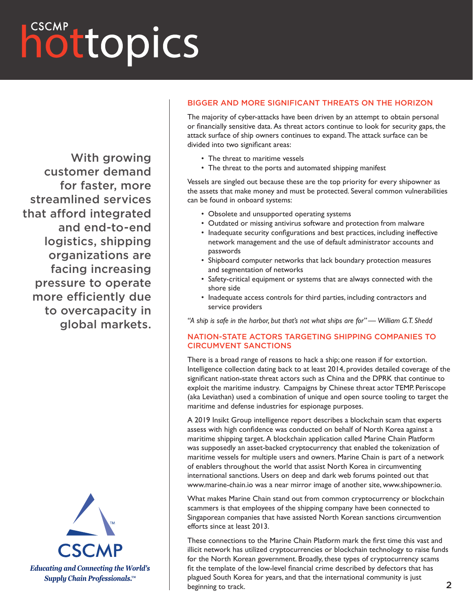### hottopics

With growing customer demand for faster, more streamlined services that afford integrated and end-to-end logistics, shipping organizations are facing increasing pressure to operate more efficiently due to overcapacity in global markets.



#### BIGGER AND MORE SIGNIFICANT THREATS ON THE HORIZON

The majority of cyber-attacks have been driven by an attempt to obtain personal or financially sensitive data. As threat actors continue to look for security gaps, the attack surface of ship owners continues to expand. The attack surface can be divided into two significant areas:

- The threat to maritime vessels
- The threat to the ports and automated shipping manifest

Vessels are singled out because these are the top priority for every shipowner as the assets that make money and must be protected. Several common vulnerabilities can be found in onboard systems:

- Obsolete and unsupported operating systems
- Outdated or missing antivirus software and protection from malware
- Inadequate security configurations and best practices, including ineffective network management and the use of default administrator accounts and passwords
- Shipboard computer networks that lack boundary protection measures and segmentation of networks
- Safety-critical equipment or systems that are always connected with the shore side
- Inadequate access controls for third parties, including contractors and service providers

*"A ship is safe in the harbor, but that's not what ships are for" — William G.T. Shedd*

### NATION-STATE ACTORS TARGETING SHIPPING COMPANIES TO CIRCUMVENT SANCTIONS

There is a broad range of reasons to hack a ship; one reason if for extortion. Intelligence collection dating back to at least 2014, provides detailed coverage of the significant nation-state threat actors such as China and the DPRK that continue to exploit the maritime industry. Campaigns by Chinese threat actor TEMP. Periscope (aka Leviathan) used a combination of unique and open source tooling to target the maritime and defense industries for espionage purposes.

A 2019 Insikt Group intelligence report describes a blockchain scam that experts assess with high confidence was conducted on behalf of North Korea against a maritime shipping target. A blockchain application called Marine Chain Platform was supposedly an asset-backed cryptocurrency that enabled the tokenization of maritime vessels for multiple users and owners. Marine Chain is part of a network of enablers throughout the world that assist North Korea in circumventing international sanctions. Users on deep and dark web forums pointed out that www.marine-chain.io was a near mirror image of another site, www.shipowner.io.

What makes Marine Chain stand out from common cryptocurrency or blockchain scammers is that employees of the shipping company have been connected to Singaporean companies that have assisted North Korean sanctions circumvention efforts since at least 2013.

These connections to the Marine Chain Platform mark the first time this vast and illicit network has utilized cryptocurrencies or blockchain technology to raise funds for the North Korean government. Broadly, these types of cryptocurrency scams fit the template of the low-level financial crime described by defectors that has plagued South Korea for years, and that the international community is just beginning to track.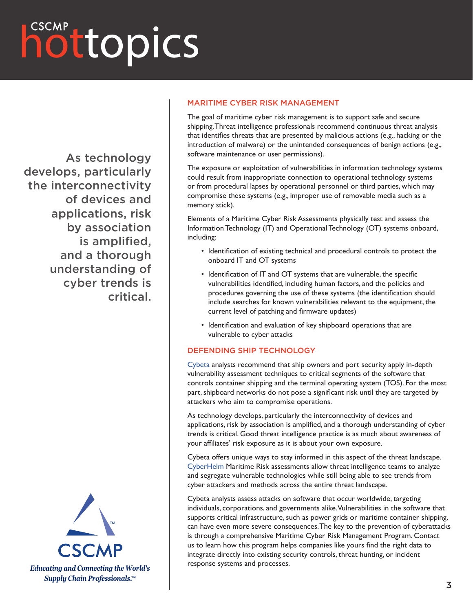### hottopics

As technology develops, particularly the interconnectivity of devices and applications, risk by association is amplified, and a thorough understanding of cyber trends is critical.



### MARITIME CYBER RISK MANAGEMENT

The goal of maritime cyber risk management is to support safe and secure shipping. Threat intelligence professionals recommend continuous threat analysis that identifies threats that are presented by malicious actions (e.g., hacking or the introduction of malware) or the unintended consequences of benign actions (e.g., software maintenance or user permissions).

The exposure or exploitation of vulnerabilities in information technology systems could result from inappropriate connection to operational technology systems or from procedural lapses by operational personnel or third parties, which may compromise these systems (e.g., improper use of removable media such as a memory stick).

Elements of a Maritime Cyber Risk Assessments physically test and assess the Information Technology (IT) and Operational Technology (OT) systems onboard, including:

- Identification of existing technical and procedural controls to protect the onboard IT and OT systems
- Identification of IT and OT systems that are vulnerable, the specific vulnerabilities identified, including human factors, and the policies and procedures governing the use of these systems (the identification should include searches for known vulnerabilities relevant to the equipment, the current level of patching and firmware updates)
- Identification and evaluation of key shipboard operations that are vulnerable to cyber attacks

#### DEFENDING SHIP TECHNOLOGY

[Cybeta](https://www.cybeta.com/) analysts recommend that ship owners and port security apply in-depth vulnerability assessment techniques to critical segments of the software that controls container shipping and the terminal operating system (TOS). For the most part, shipboard networks do not pose a significant risk until they are targeted by attackers who aim to compromise operations.

As technology develops, particularly the interconnectivity of devices and applications, risk by association is amplified, and a thorough understanding of cyber trends is critical. Good threat intelligence practice is as much about awareness of your affiliates' risk exposure as it is about your own exposure.

Cybeta offers unique ways to stay informed in this aspect of the threat landscape. [CyberHelm](https://www.cybeta.com/industries/maritime/) Maritime Risk assessments allow threat intelligence teams to analyze and segregate vulnerable technologies while still being able to see trends from cyber attackers and methods across the entire threat landscape.

Cybeta analysts assess attacks on software that occur worldwide, targeting individuals, corporations, and governments alike. Vulnerabilities in the software that supports critical infrastructure, such as power grids or maritime container shipping, can have even more severe consequences. The key to the prevention of cyberattacks is through a comprehensive Maritime Cyber Risk Management Program. Contact us to learn how this program helps companies like yours find the right data to integrate directly into existing security controls, threat hunting, or incident